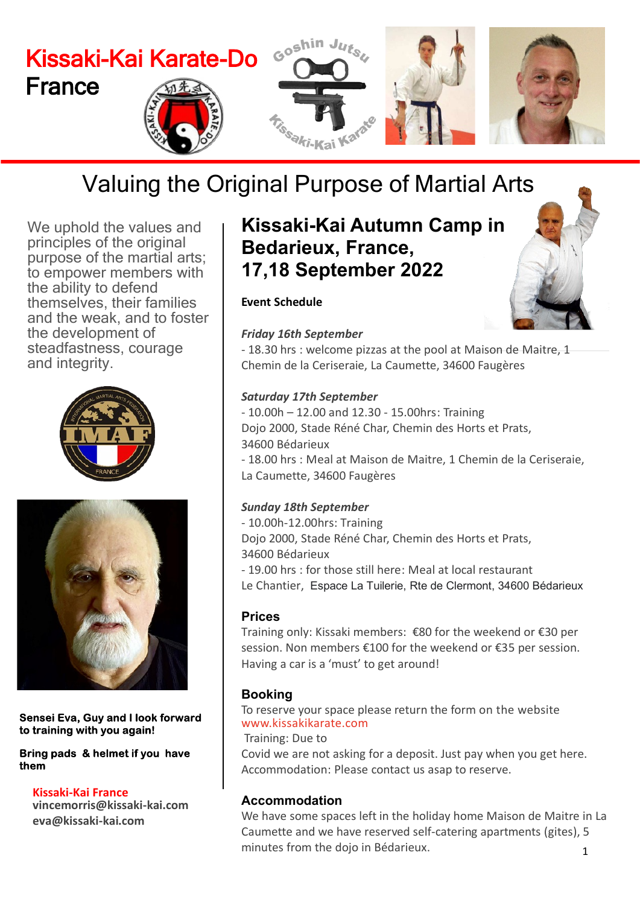

## Valuing the Original Purpose of Martial Arts

We uphold the values and principles of the original purpose of the martial arts; to empower members with the ability to defend themselves, their families and the weak, and to foster the development of steadfastness, courage and integrity.





Sensei Eva, Guy and I look forward to training with you again!

Bring pads & helmet if you have them

**Kissaki-Kai France vincemorris@kissaki-kai.com eva@kissaki-kai.com**

## **Kissaki-Kai Autumn Camp in Bedarieux, France, 17,18 September 2022**

### **Event Schedule**

### *Friday 16th September*

- 18.30 hrs : welcome pizzas at the pool at Maison de Maitre, 1 Chemin de la Ceriseraie, La Caumette, 34600 Faugères

### *Saturday 17th September*

- 10.00h – 12.00 and 12.30 - 15.00hrs: Training Dojo 2000, Stade Réné Char, Chemin des Horts et Prats, 34600 Bédarieux - 18.00 hrs : Meal at Maison de Maitre, 1 Chemin de la Ceriseraie, La Caumette, 34600 Faugères

### *Sunday 18th September*

- 10.00h-12.00hrs: Training Dojo 2000, Stade Réné Char, Chemin des Horts et Prats, 34600 Bédarieux - 19.00 hrs : for those still here: Meal at local restaurant Le Chantier, Espace La Tuilerie, Rte de Clermont, 34600 Bédarieux

### **Prices**

Training only: Kissaki members: €80 for the weekend or €30 per session. Non members €100 for the weekend or €35 per session. Having a car is a 'must' to get around!

### **Booking**

To reserve your space please return the form on the website <www.kissakikarate.com>

Training: Due to

Covid we are not asking for a deposit. Just pay when you get here. Accommodation: Please contact us asap to reserve.

### **Accommodation**

1 We have some spaces left in the holiday home Maison de Maitre in La Caumette and we have reserved self-catering apartments (gites), 5 minutes from the dojo in Bédarieux.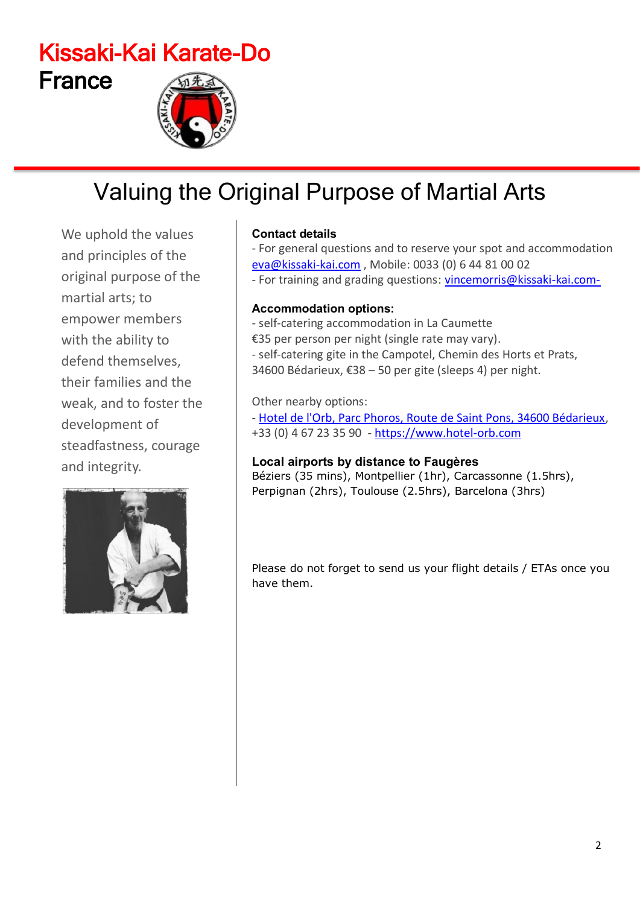## Kissaki-Kai Karate-Do France

## Valuing the Original Purpose of Martial Arts

We uphold the values and principles of the original purpose of the martial arts; to empower members with the ability to defend themselves, their families and the weak, and to foster the development of steadfastness, courage and integrity.



### **Contact details**

- For general questions and to reserve your spot and accommodation eva@kissaki-kai.com , Mobile: 0033 (0) 6 44 81 00 02 - For training and grading questions: vincemorris@kissaki-kai.com-

### **Accommodation options:**

- self-catering accommodation in La Caumette €35 per person per night (single rate may vary). - self-catering gite in the Campotel, Chemin des Horts et Prats, 34600 Bédarieux, €38 – 50 per gite (sleeps 4) per night.

### Other nearby options:

- Hotel de l'Orb, Parc Phoros, Route de Saint Pons, 34600 Bédarieux, +33 (0) 4 67 23 35 90 - https://www.hotel-orb.com

### **Local airports by distance to Faugères**

Béziers (35 mins), Montpellier (1hr), Carcassonne (1.5hrs), Perpignan (2hrs), Toulouse (2.5hrs), Barcelona (3hrs)

Please do not forget to send us your flight details / ETAs once you have them.